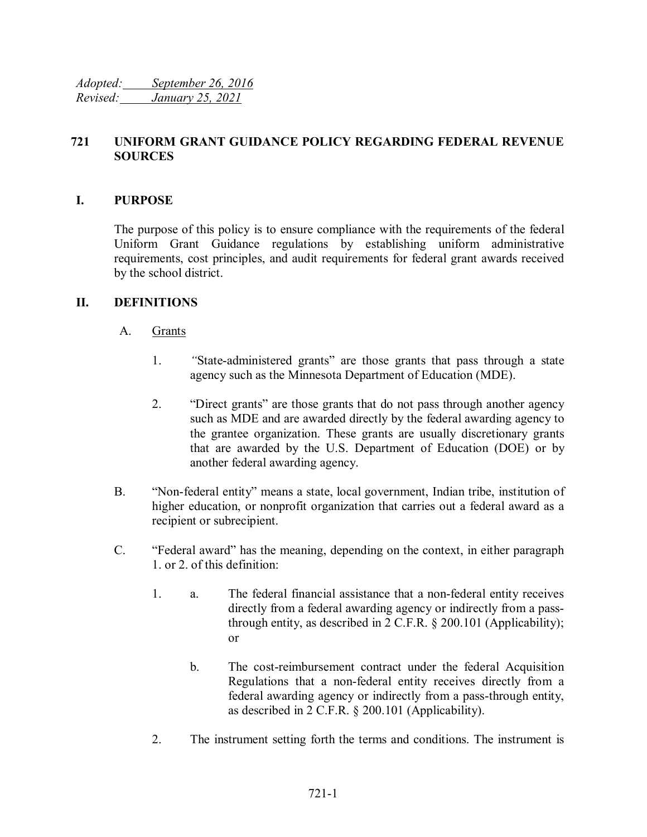*Adopted: September 26, 2016 Revised: January 25, 2021*

## **721 UNIFORM GRANT GUIDANCE POLICY REGARDING FEDERAL REVENUE SOURCES**

### **I. PURPOSE**

The purpose of this policy is to ensure compliance with the requirements of the federal Uniform Grant Guidance regulations by establishing uniform administrative requirements, cost principles, and audit requirements for federal grant awards received by the school district.

### **II. DEFINITIONS**

### A. Grants

- 1. *"*State-administered grants" are those grants that pass through a state agency such as the Minnesota Department of Education (MDE).
- 2. "Direct grants" are those grants that do not pass through another agency such as MDE and are awarded directly by the federal awarding agency to the grantee organization. These grants are usually discretionary grants that are awarded by the U.S. Department of Education (DOE) or by another federal awarding agency.
- B. "Non-federal entity" means a state, local government, Indian tribe, institution of higher education, or nonprofit organization that carries out a federal award as a recipient or subrecipient.
- C. "Federal award" has the meaning, depending on the context, in either paragraph 1. or 2. of this definition:
	- 1. a. The federal financial assistance that a non-federal entity receives directly from a federal awarding agency or indirectly from a passthrough entity, as described in 2 C.F.R. § 200.101 (Applicability); or
		- b. The cost-reimbursement contract under the federal Acquisition Regulations that a non-federal entity receives directly from a federal awarding agency or indirectly from a pass-through entity, as described in 2 C.F.R. § 200.101 (Applicability).
	- 2. The instrument setting forth the terms and conditions. The instrument is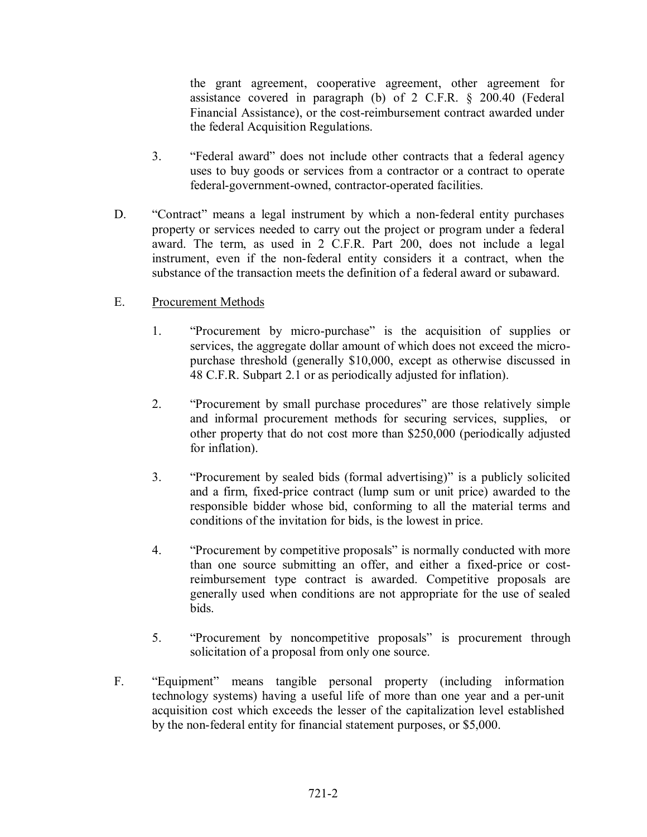the grant agreement, cooperative agreement, other agreement for assistance covered in paragraph (b) of 2 C.F.R. § 200.40 (Federal Financial Assistance), or the cost-reimbursement contract awarded under the federal Acquisition Regulations.

- 3. "Federal award" does not include other contracts that a federal agency uses to buy goods or services from a contractor or a contract to operate federal-government-owned, contractor-operated facilities.
- D. "Contract" means a legal instrument by which a non-federal entity purchases property or services needed to carry out the project or program under a federal award. The term, as used in 2 C.F.R. Part 200, does not include a legal instrument, even if the non-federal entity considers it a contract, when the substance of the transaction meets the definition of a federal award or subaward.

### E. Procurement Methods

- 1. "Procurement by micro-purchase" is the acquisition of supplies or services, the aggregate dollar amount of which does not exceed the micropurchase threshold (generally \$10,000, except as otherwise discussed in 48 C.F.R. Subpart 2.1 or as periodically adjusted for inflation).
- 2. "Procurement by small purchase procedures" are those relatively simple and informal procurement methods for securing services, supplies, or other property that do not cost more than \$250,000 (periodically adjusted for inflation).
- 3. "Procurement by sealed bids (formal advertising)" is a publicly solicited and a firm, fixed-price contract (lump sum or unit price) awarded to the responsible bidder whose bid, conforming to all the material terms and conditions of the invitation for bids, is the lowest in price.
- 4. "Procurement by competitive proposals" is normally conducted with more than one source submitting an offer, and either a fixed-price or costreimbursement type contract is awarded. Competitive proposals are generally used when conditions are not appropriate for the use of sealed bids.
- 5. "Procurement by noncompetitive proposals" is procurement through solicitation of a proposal from only one source.
- F. "Equipment" means tangible personal property (including information technology systems) having a useful life of more than one year and a per-unit acquisition cost which exceeds the lesser of the capitalization level established by the non-federal entity for financial statement purposes, or \$5,000.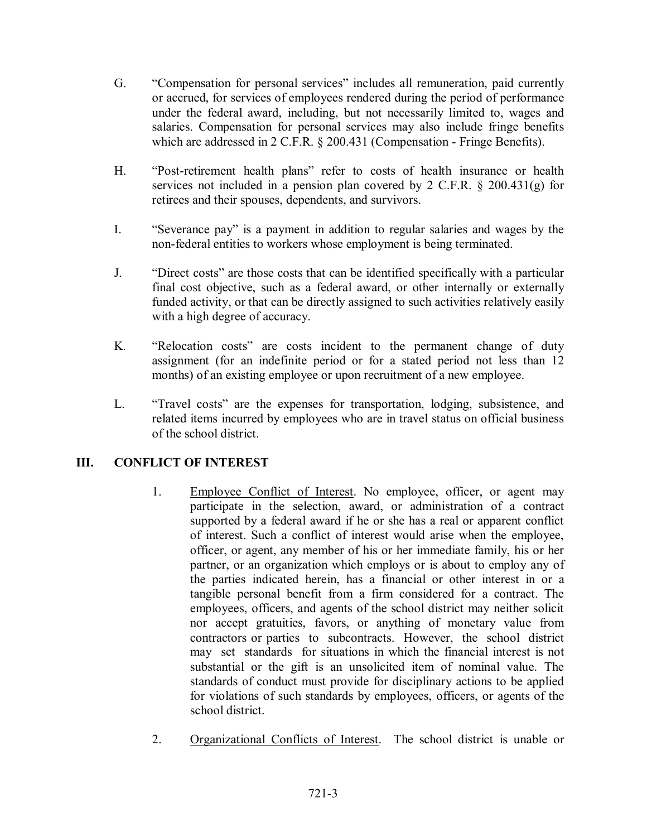- G. "Compensation for personal services" includes all remuneration, paid currently or accrued, for services of employees rendered during the period of performance under the federal award, including, but not necessarily limited to, wages and salaries. Compensation for personal services may also include fringe benefits which are addressed in 2 C.F.R. § 200.431 (Compensation - Fringe Benefits).
- H. "Post-retirement health plans" refer to costs of health insurance or health services not included in a pension plan covered by 2 C.F.R. § 200.431(g) for retirees and their spouses, dependents, and survivors.
- I. "Severance pay" is a payment in addition to regular salaries and wages by the non-federal entities to workers whose employment is being terminated.
- J. "Direct costs" are those costs that can be identified specifically with a particular final cost objective, such as a federal award, or other internally or externally funded activity, or that can be directly assigned to such activities relatively easily with a high degree of accuracy.
- K. "Relocation costs" are costs incident to the permanent change of duty assignment (for an indefinite period or for a stated period not less than 12 months) of an existing employee or upon recruitment of a new employee.
- L. "Travel costs" are the expenses for transportation, lodging, subsistence, and related items incurred by employees who are in travel status on official business of the school district.

# **III. CONFLICT OF INTEREST**

- 1. Employee Conflict of Interest. No employee, officer, or agent may participate in the selection, award, or administration of a contract supported by a federal award if he or she has a real or apparent conflict of interest. Such a conflict of interest would arise when the employee, officer, or agent, any member of his or her immediate family, his or her partner, or an organization which employs or is about to employ any of the parties indicated herein, has a financial or other interest in or a tangible personal benefit from a firm considered for a contract. The employees, officers, and agents of the school district may neither solicit nor accept gratuities, favors, or anything of monetary value from contractors or parties to subcontracts. However, the school district may set standards for situations in which the financial interest is not substantial or the gift is an unsolicited item of nominal value. The standards of conduct must provide for disciplinary actions to be applied for violations of such standards by employees, officers, or agents of the school district.
- 2. Organizational Conflicts of Interest. The school district is unable or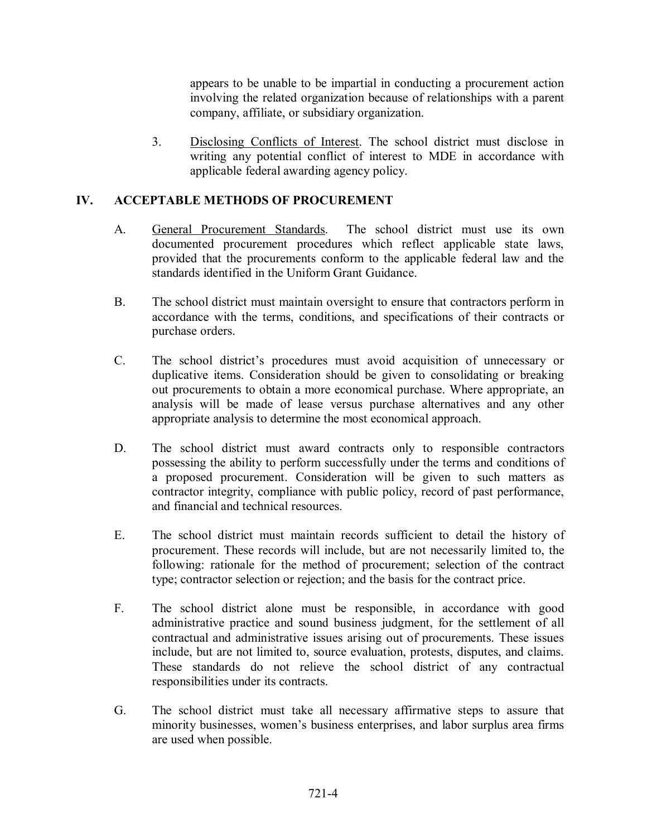appears to be unable to be impartial in conducting a procurement action involving the related organization because of relationships with a parent company, affiliate, or subsidiary organization.

3. Disclosing Conflicts of Interest. The school district must disclose in writing any potential conflict of interest to MDE in accordance with applicable federal awarding agency policy.

## **IV. ACCEPTABLE METHODS OF PROCUREMENT**

- A. General Procurement Standards. The school district must use its own documented procurement procedures which reflect applicable state laws, provided that the procurements conform to the applicable federal law and the standards identified in the Uniform Grant Guidance.
- B. The school district must maintain oversight to ensure that contractors perform in accordance with the terms, conditions, and specifications of their contracts or purchase orders.
- C. The school district's procedures must avoid acquisition of unnecessary or duplicative items. Consideration should be given to consolidating or breaking out procurements to obtain a more economical purchase. Where appropriate, an analysis will be made of lease versus purchase alternatives and any other appropriate analysis to determine the most economical approach.
- D. The school district must award contracts only to responsible contractors possessing the ability to perform successfully under the terms and conditions of a proposed procurement. Consideration will be given to such matters as contractor integrity, compliance with public policy, record of past performance, and financial and technical resources.
- E. The school district must maintain records sufficient to detail the history of procurement. These records will include, but are not necessarily limited to, the following: rationale for the method of procurement; selection of the contract type; contractor selection or rejection; and the basis for the contract price.
- F. The school district alone must be responsible, in accordance with good administrative practice and sound business judgment, for the settlement of all contractual and administrative issues arising out of procurements. These issues include, but are not limited to, source evaluation, protests, disputes, and claims. These standards do not relieve the school district of any contractual responsibilities under its contracts.
- G. The school district must take all necessary affirmative steps to assure that minority businesses, women's business enterprises, and labor surplus area firms are used when possible.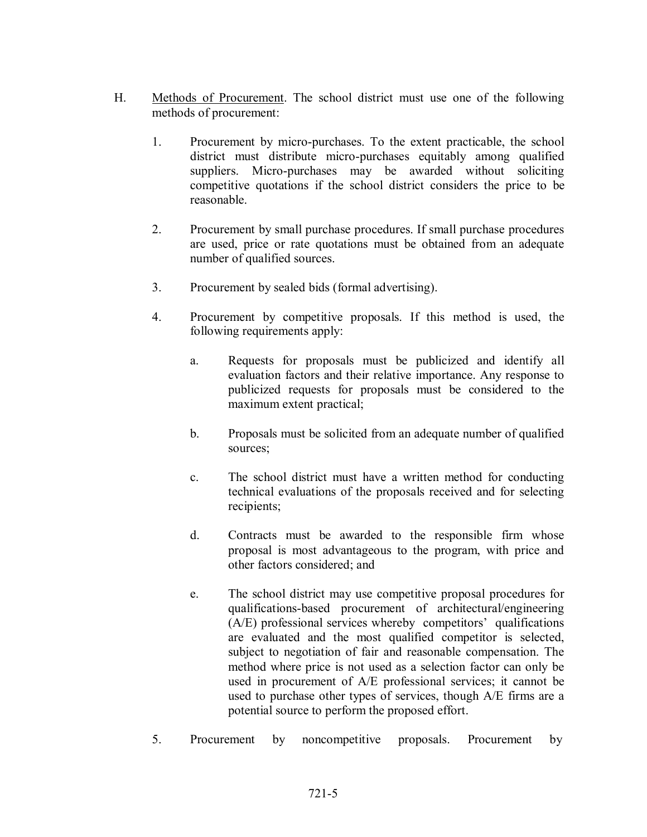- H. Methods of Procurement. The school district must use one of the following methods of procurement:
	- 1. Procurement by micro-purchases. To the extent practicable, the school district must distribute micro-purchases equitably among qualified suppliers. Micro-purchases may be awarded without soliciting competitive quotations if the school district considers the price to be reasonable.
	- 2. Procurement by small purchase procedures. If small purchase procedures are used, price or rate quotations must be obtained from an adequate number of qualified sources.
	- 3. Procurement by sealed bids (formal advertising).
	- 4. Procurement by competitive proposals. If this method is used, the following requirements apply:
		- a. Requests for proposals must be publicized and identify all evaluation factors and their relative importance. Any response to publicized requests for proposals must be considered to the maximum extent practical;
		- b. Proposals must be solicited from an adequate number of qualified sources;
		- c. The school district must have a written method for conducting technical evaluations of the proposals received and for selecting recipients;
		- d. Contracts must be awarded to the responsible firm whose proposal is most advantageous to the program, with price and other factors considered; and
		- e. The school district may use competitive proposal procedures for qualifications-based procurement of architectural/engineering (A/E) professional services whereby competitors' qualifications are evaluated and the most qualified competitor is selected, subject to negotiation of fair and reasonable compensation. The method where price is not used as a selection factor can only be used in procurement of A/E professional services; it cannot be used to purchase other types of services, though A/E firms are a potential source to perform the proposed effort.
	- 5. Procurement by noncompetitive proposals. Procurement by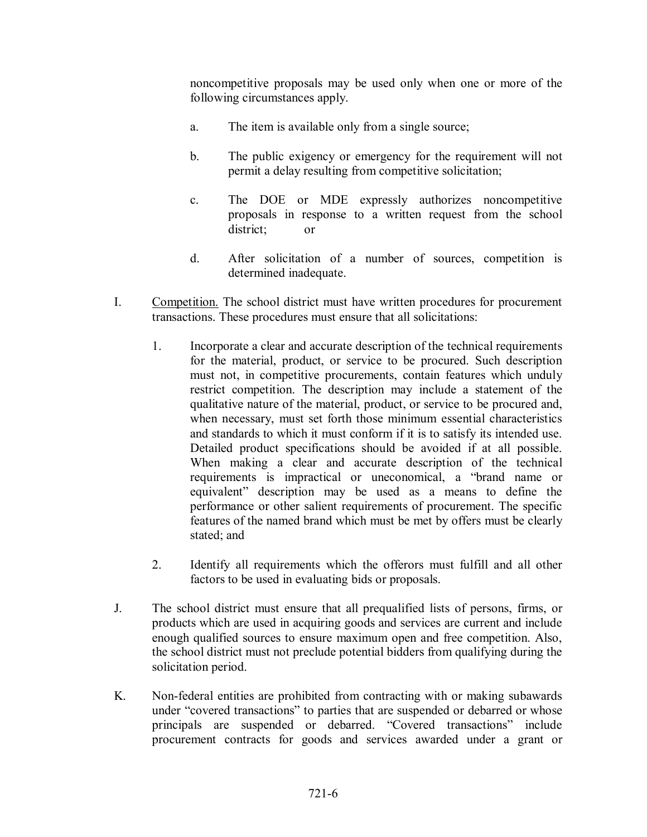noncompetitive proposals may be used only when one or more of the following circumstances apply.

- a. The item is available only from a single source;
- b. The public exigency or emergency for the requirement will not permit a delay resulting from competitive solicitation;
- c. The DOE or MDE expressly authorizes noncompetitive proposals in response to a written request from the school district; or
- d. After solicitation of a number of sources, competition is determined inadequate.
- I. Competition. The school district must have written procedures for procurement transactions. These procedures must ensure that all solicitations:
	- 1. Incorporate a clear and accurate description of the technical requirements for the material, product, or service to be procured. Such description must not, in competitive procurements, contain features which unduly restrict competition. The description may include a statement of the qualitative nature of the material, product, or service to be procured and, when necessary, must set forth those minimum essential characteristics and standards to which it must conform if it is to satisfy its intended use. Detailed product specifications should be avoided if at all possible. When making a clear and accurate description of the technical requirements is impractical or uneconomical, a "brand name or equivalent" description may be used as a means to define the performance or other salient requirements of procurement. The specific features of the named brand which must be met by offers must be clearly stated; and
	- 2. Identify all requirements which the offerors must fulfill and all other factors to be used in evaluating bids or proposals.
- J. The school district must ensure that all prequalified lists of persons, firms, or products which are used in acquiring goods and services are current and include enough qualified sources to ensure maximum open and free competition. Also, the school district must not preclude potential bidders from qualifying during the solicitation period.
- K. Non-federal entities are prohibited from contracting with or making subawards under "covered transactions" to parties that are suspended or debarred or whose principals are suspended or debarred. "Covered transactions" include procurement contracts for goods and services awarded under a grant or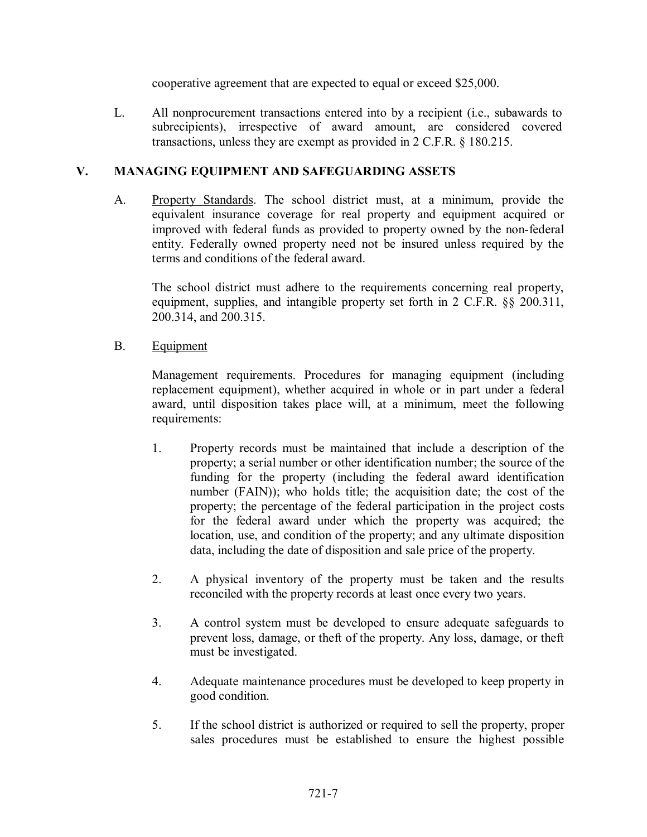cooperative agreement that are expected to equal or exceed \$25,000.

L. All nonprocurement transactions entered into by a recipient (i.e., subawards to subrecipients), irrespective of award amount, are considered covered transactions, unless they are exempt as provided in 2 C.F.R. § 180.215.

## **V. MANAGING EQUIPMENT AND SAFEGUARDING ASSETS**

A. Property Standards. The school district must, at a minimum, provide the equivalent insurance coverage for real property and equipment acquired or improved with federal funds as provided to property owned by the non-federal entity. Federally owned property need not be insured unless required by the terms and conditions of the federal award.

The school district must adhere to the requirements concerning real property, equipment, supplies, and intangible property set forth in 2 C.F.R. §§ 200.311, 200.314, and 200.315.

B. Equipment

Management requirements. Procedures for managing equipment (including replacement equipment), whether acquired in whole or in part under a federal award, until disposition takes place will, at a minimum, meet the following requirements:

- 1. Property records must be maintained that include a description of the property; a serial number or other identification number; the source of the funding for the property (including the federal award identification number (FAIN)); who holds title; the acquisition date; the cost of the property; the percentage of the federal participation in the project costs for the federal award under which the property was acquired; the location, use, and condition of the property; and any ultimate disposition data, including the date of disposition and sale price of the property.
- 2. A physical inventory of the property must be taken and the results reconciled with the property records at least once every two years.
- 3. A control system must be developed to ensure adequate safeguards to prevent loss, damage, or theft of the property. Any loss, damage, or theft must be investigated.
- 4. Adequate maintenance procedures must be developed to keep property in good condition.
- 5. If the school district is authorized or required to sell the property, proper sales procedures must be established to ensure the highest possible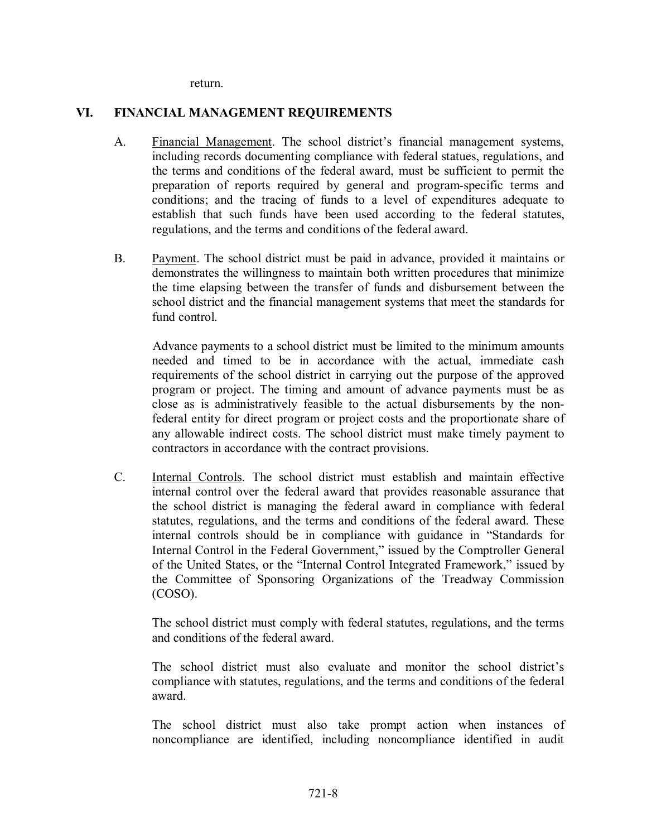return.

#### **VI. FINANCIAL MANAGEMENT REQUIREMENTS**

- A. Financial Management. The school district's financial management systems, including records documenting compliance with federal statues, regulations, and the terms and conditions of the federal award, must be sufficient to permit the preparation of reports required by general and program-specific terms and conditions; and the tracing of funds to a level of expenditures adequate to establish that such funds have been used according to the federal statutes, regulations, and the terms and conditions of the federal award.
- B. Payment. The school district must be paid in advance, provided it maintains or demonstrates the willingness to maintain both written procedures that minimize the time elapsing between the transfer of funds and disbursement between the school district and the financial management systems that meet the standards for fund control.

Advance payments to a school district must be limited to the minimum amounts needed and timed to be in accordance with the actual, immediate cash requirements of the school district in carrying out the purpose of the approved program or project. The timing and amount of advance payments must be as close as is administratively feasible to the actual disbursements by the nonfederal entity for direct program or project costs and the proportionate share of any allowable indirect costs. The school district must make timely payment to contractors in accordance with the contract provisions.

C. Internal Controls. The school district must establish and maintain effective internal control over the federal award that provides reasonable assurance that the school district is managing the federal award in compliance with federal statutes, regulations, and the terms and conditions of the federal award. These internal controls should be in compliance with guidance in "Standards for Internal Control in the Federal Government," issued by the Comptroller General of the United States, or the "Internal Control Integrated Framework," issued by the Committee of Sponsoring Organizations of the Treadway Commission (COSO).

The school district must comply with federal statutes, regulations, and the terms and conditions of the federal award.

The school district must also evaluate and monitor the school district's compliance with statutes, regulations, and the terms and conditions of the federal award.

The school district must also take prompt action when instances of noncompliance are identified, including noncompliance identified in audit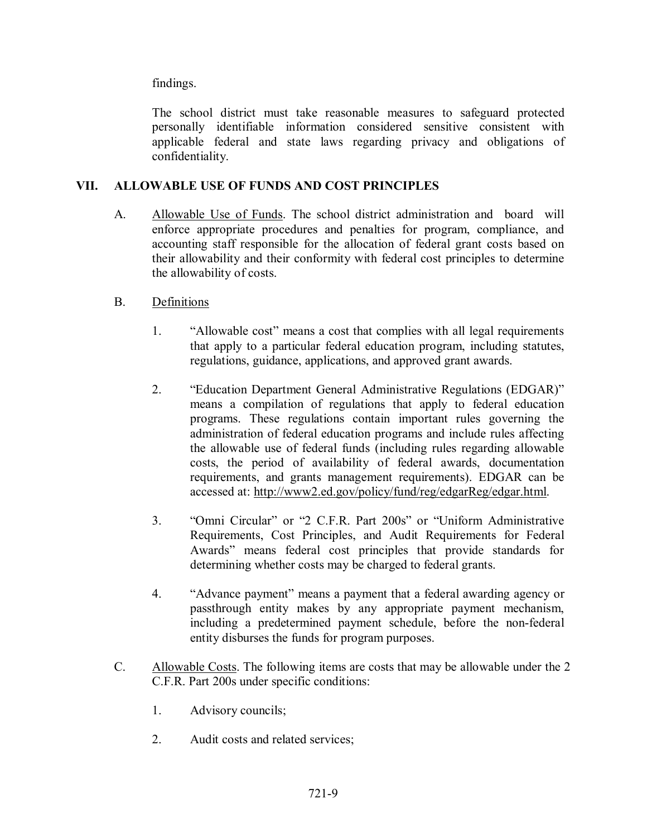findings.

The school district must take reasonable measures to safeguard protected personally identifiable information considered sensitive consistent with applicable federal and state laws regarding privacy and obligations of confidentiality.

# **VII. ALLOWABLE USE OF FUNDS AND COST PRINCIPLES**

A. Allowable Use of Funds. The school district administration and board will enforce appropriate procedures and penalties for program, compliance, and accounting staff responsible for the allocation of federal grant costs based on their allowability and their conformity with federal cost principles to determine the allowability of costs.

# B. Definitions

- 1. "Allowable cost" means a cost that complies with all legal requirements that apply to a particular federal education program, including statutes, regulations, guidance, applications, and approved grant awards.
- 2. "Education Department General Administrative Regulations (EDGAR)" means a compilation of regulations that apply to federal education programs. These regulations contain important rules governing the administration of federal education programs and include rules affecting the allowable use of federal funds (including rules regarding allowable costs, the period of availability of federal awards, documentation requirements, and grants management requirements). EDGAR can be accessed at: [http://www2.ed.gov/policy/fund/reg/edgarReg/edgar.html.](http://www2.ed.gov/policy/fund/reg/edgarReg/edgar.html)
- 3. "Omni Circular" or "2 C.F.R. Part 200s" or "Uniform Administrative Requirements, Cost Principles, and Audit Requirements for Federal Awards" means federal cost principles that provide standards for determining whether costs may be charged to federal grants.
- 4. "Advance payment" means a payment that a federal awarding agency or passthrough entity makes by any appropriate payment mechanism, including a predetermined payment schedule, before the non-federal entity disburses the funds for program purposes.
- C. Allowable Costs. The following items are costs that may be allowable under the 2 C.F.R. Part 200s under specific conditions:
	- 1. Advisory councils;
	- 2. Audit costs and related services;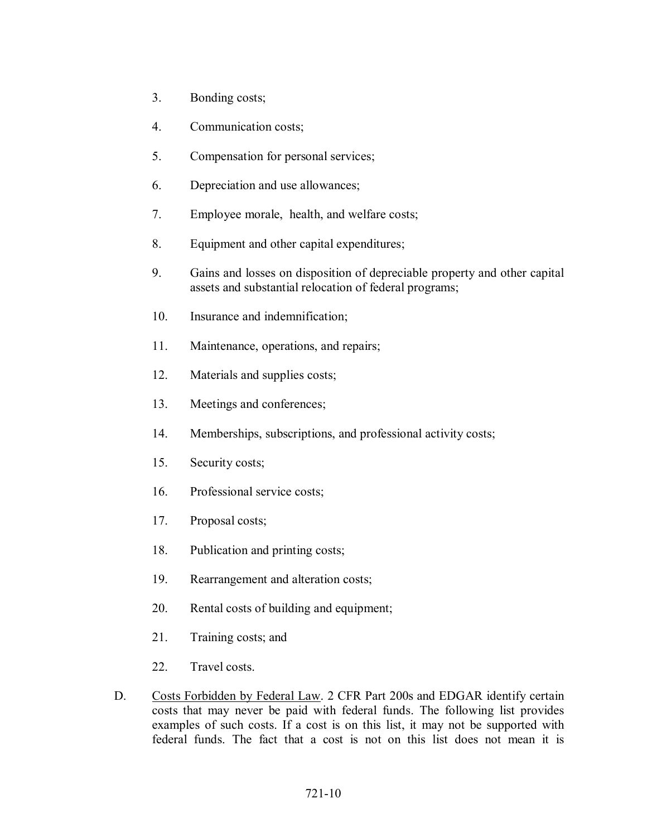- 3. Bonding costs;
- 4. Communication costs;
- 5. Compensation for personal services;
- 6. Depreciation and use allowances;
- 7. Employee morale, health, and welfare costs;
- 8. Equipment and other capital expenditures;
- 9. Gains and losses on disposition of depreciable property and other capital assets and substantial relocation of federal programs;
- 10. Insurance and indemnification;
- 11. Maintenance, operations, and repairs;
- 12. Materials and supplies costs;
- 13. Meetings and conferences;
- 14. Memberships, subscriptions, and professional activity costs;
- 15. Security costs;
- 16. Professional service costs;
- 17. Proposal costs;
- 18. Publication and printing costs;
- 19. Rearrangement and alteration costs;
- 20. Rental costs of building and equipment;
- 21. Training costs; and
- 22. Travel costs.
- D. Costs Forbidden by Federal Law. 2 CFR Part 200s and EDGAR identify certain costs that may never be paid with federal funds. The following list provides examples of such costs. If a cost is on this list, it may not be supported with federal funds. The fact that a cost is not on this list does not mean it is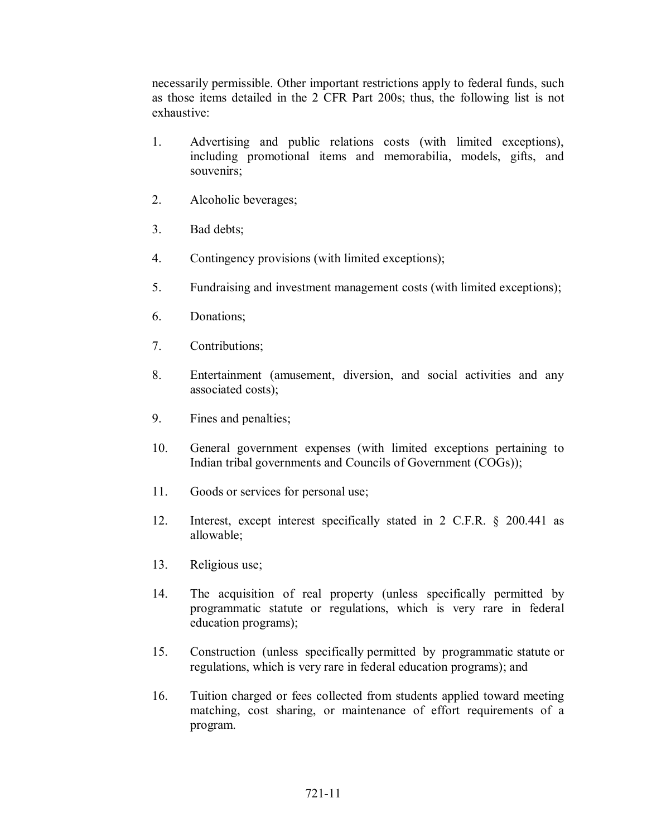necessarily permissible. Other important restrictions apply to federal funds, such as those items detailed in the 2 CFR Part 200s; thus, the following list is not exhaustive:

- 1. Advertising and public relations costs (with limited exceptions), including promotional items and memorabilia, models, gifts, and souvenirs;
- 2. Alcoholic beverages;
- 3. Bad debts;
- 4. Contingency provisions (with limited exceptions);
- 5. Fundraising and investment management costs (with limited exceptions);
- 6. Donations;
- 7. Contributions;
- 8. Entertainment (amusement, diversion, and social activities and any associated costs);
- 9. Fines and penalties;
- 10. General government expenses (with limited exceptions pertaining to Indian tribal governments and Councils of Government (COGs));
- 11. Goods or services for personal use;
- 12. Interest, except interest specifically stated in 2 C.F.R. § 200.441 as allowable;
- 13. Religious use;
- 14. The acquisition of real property (unless specifically permitted by programmatic statute or regulations, which is very rare in federal education programs);
- 15. Construction (unless specifically permitted by programmatic statute or regulations, which is very rare in federal education programs); and
- 16. Tuition charged or fees collected from students applied toward meeting matching, cost sharing, or maintenance of effort requirements of a program.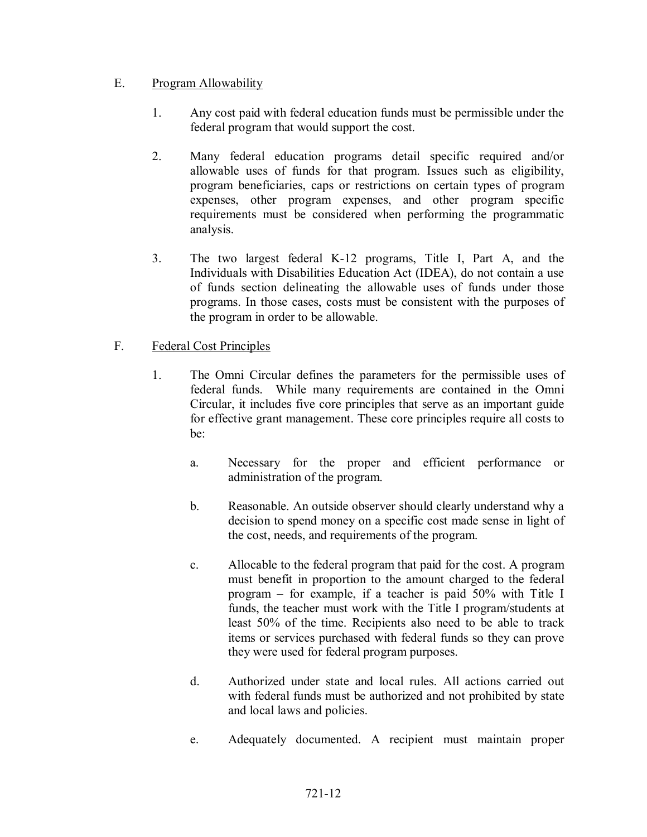## E. Program Allowability

- 1. Any cost paid with federal education funds must be permissible under the federal program that would support the cost.
- 2. Many federal education programs detail specific required and/or allowable uses of funds for that program. Issues such as eligibility, program beneficiaries, caps or restrictions on certain types of program expenses, other program expenses, and other program specific requirements must be considered when performing the programmatic analysis.
- 3. The two largest federal K-12 programs, Title I, Part A, and the Individuals with Disabilities Education Act (IDEA), do not contain a use of funds section delineating the allowable uses of funds under those programs. In those cases, costs must be consistent with the purposes of the program in order to be allowable.

## F. Federal Cost Principles

- 1. The Omni Circular defines the parameters for the permissible uses of federal funds. While many requirements are contained in the Omni Circular, it includes five core principles that serve as an important guide for effective grant management. These core principles require all costs to be:
	- a. Necessary for the proper and efficient performance or administration of the program.
	- b. Reasonable. An outside observer should clearly understand why a decision to spend money on a specific cost made sense in light of the cost, needs, and requirements of the program.
	- c. Allocable to the federal program that paid for the cost. A program must benefit in proportion to the amount charged to the federal program – for example, if a teacher is paid 50% with Title I funds, the teacher must work with the Title I program/students at least 50% of the time. Recipients also need to be able to track items or services purchased with federal funds so they can prove they were used for federal program purposes.
	- d. Authorized under state and local rules. All actions carried out with federal funds must be authorized and not prohibited by state and local laws and policies.
	- e. Adequately documented. A recipient must maintain proper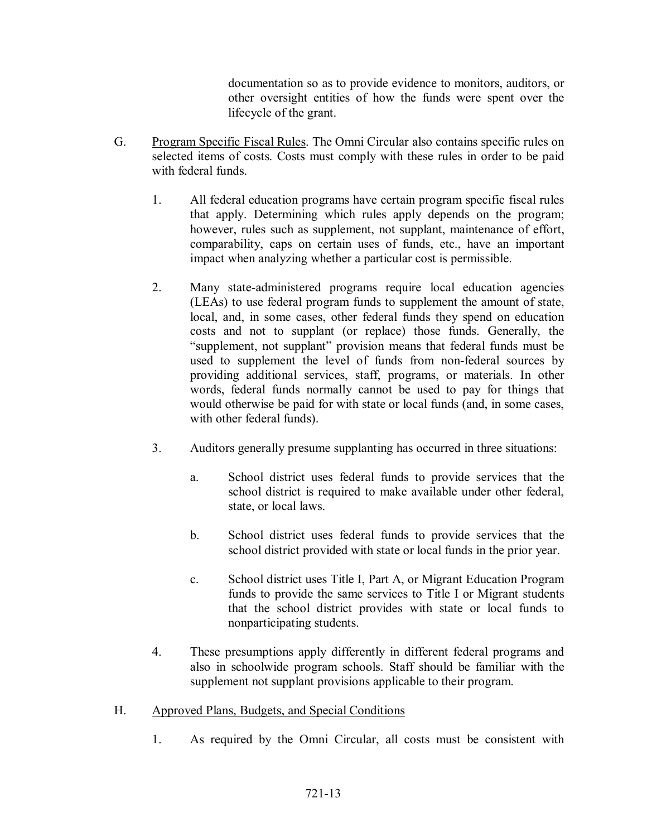documentation so as to provide evidence to monitors, auditors, or other oversight entities of how the funds were spent over the lifecycle of the grant.

- G. Program Specific Fiscal Rules. The Omni Circular also contains specific rules on selected items of costs. Costs must comply with these rules in order to be paid with federal funds.
	- 1. All federal education programs have certain program specific fiscal rules that apply. Determining which rules apply depends on the program; however, rules such as supplement, not supplant, maintenance of effort, comparability, caps on certain uses of funds, etc., have an important impact when analyzing whether a particular cost is permissible.
	- 2. Many state-administered programs require local education agencies (LEAs) to use federal program funds to supplement the amount of state, local, and, in some cases, other federal funds they spend on education costs and not to supplant (or replace) those funds. Generally, the "supplement, not supplant" provision means that federal funds must be used to supplement the level of funds from non-federal sources by providing additional services, staff, programs, or materials. In other words, federal funds normally cannot be used to pay for things that would otherwise be paid for with state or local funds (and, in some cases, with other federal funds).
	- 3. Auditors generally presume supplanting has occurred in three situations:
		- a. School district uses federal funds to provide services that the school district is required to make available under other federal, state, or local laws.
		- b. School district uses federal funds to provide services that the school district provided with state or local funds in the prior year.
		- c. School district uses Title I, Part A, or Migrant Education Program funds to provide the same services to Title I or Migrant students that the school district provides with state or local funds to nonparticipating students.
	- 4. These presumptions apply differently in different federal programs and also in schoolwide program schools. Staff should be familiar with the supplement not supplant provisions applicable to their program.
- H. Approved Plans, Budgets, and Special Conditions
	- 1. As required by the Omni Circular, all costs must be consistent with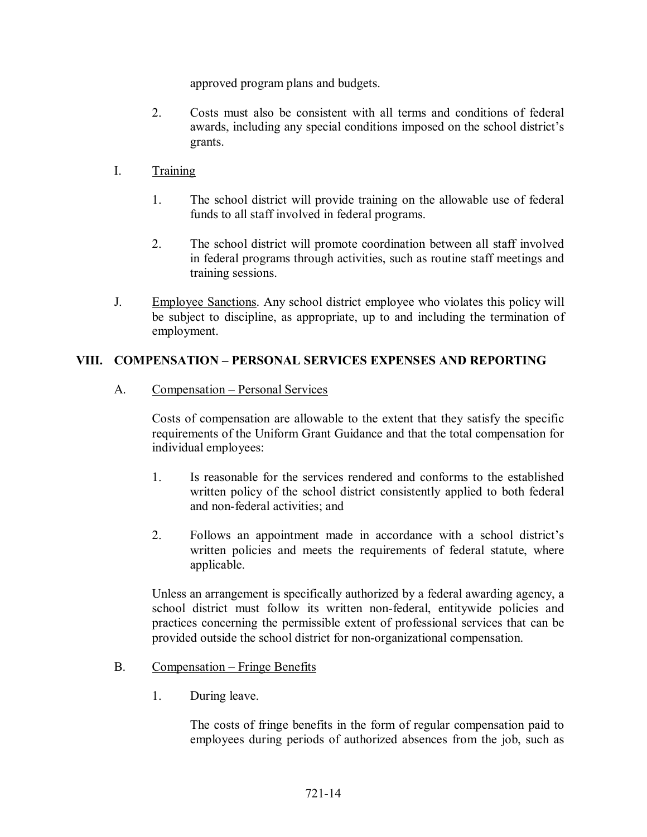approved program plans and budgets.

- 2. Costs must also be consistent with all terms and conditions of federal awards, including any special conditions imposed on the school district's grants.
- I. Training
	- 1. The school district will provide training on the allowable use of federal funds to all staff involved in federal programs.
	- 2. The school district will promote coordination between all staff involved in federal programs through activities, such as routine staff meetings and training sessions.
- J. Employee Sanctions. Any school district employee who violates this policy will be subject to discipline, as appropriate, up to and including the termination of employment.

# **VIII. COMPENSATION – PERSONAL SERVICES EXPENSES AND REPORTING**

A. Compensation – Personal Services

Costs of compensation are allowable to the extent that they satisfy the specific requirements of the Uniform Grant Guidance and that the total compensation for individual employees:

- 1. Is reasonable for the services rendered and conforms to the established written policy of the school district consistently applied to both federal and non-federal activities; and
- 2. Follows an appointment made in accordance with a school district's written policies and meets the requirements of federal statute, where applicable.

Unless an arrangement is specifically authorized by a federal awarding agency, a school district must follow its written non-federal, entitywide policies and practices concerning the permissible extent of professional services that can be provided outside the school district for non-organizational compensation.

## B. Compensation – Fringe Benefits

1. During leave.

The costs of fringe benefits in the form of regular compensation paid to employees during periods of authorized absences from the job, such as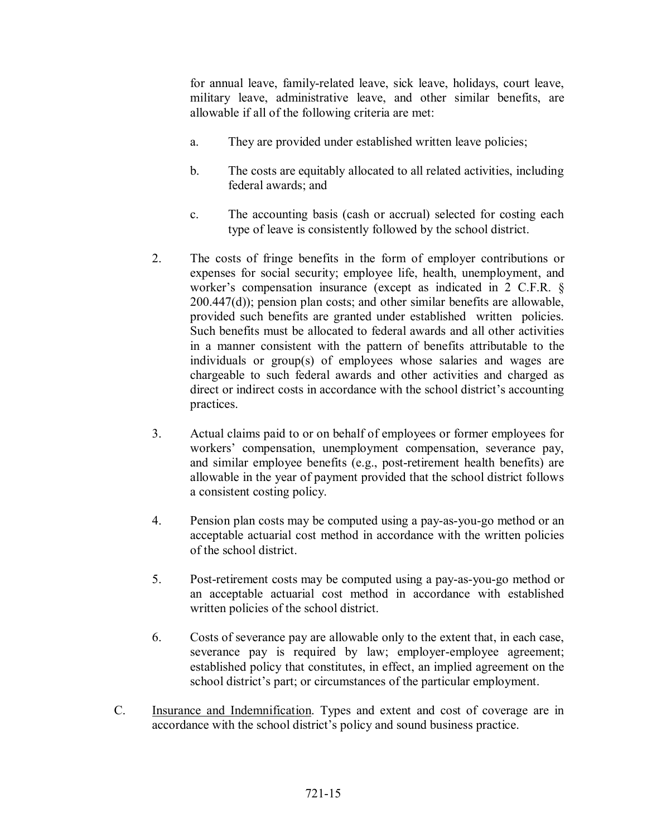for annual leave, family-related leave, sick leave, holidays, court leave, military leave, administrative leave, and other similar benefits, are allowable if all of the following criteria are met:

- a. They are provided under established written leave policies;
- b. The costs are equitably allocated to all related activities, including federal awards; and
- c. The accounting basis (cash or accrual) selected for costing each type of leave is consistently followed by the school district.
- 2. The costs of fringe benefits in the form of employer contributions or expenses for social security; employee life, health, unemployment, and worker's compensation insurance (except as indicated in 2 C.F.R. § 200.447(d)); pension plan costs; and other similar benefits are allowable, provided such benefits are granted under established written policies. Such benefits must be allocated to federal awards and all other activities in a manner consistent with the pattern of benefits attributable to the individuals or group(s) of employees whose salaries and wages are chargeable to such federal awards and other activities and charged as direct or indirect costs in accordance with the school district's accounting practices.
- 3. Actual claims paid to or on behalf of employees or former employees for workers' compensation, unemployment compensation, severance pay, and similar employee benefits (e.g., post-retirement health benefits) are allowable in the year of payment provided that the school district follows a consistent costing policy.
- 4. Pension plan costs may be computed using a pay-as-you-go method or an acceptable actuarial cost method in accordance with the written policies of the school district.
- 5. Post-retirement costs may be computed using a pay-as-you-go method or an acceptable actuarial cost method in accordance with established written policies of the school district.
- 6. Costs of severance pay are allowable only to the extent that, in each case, severance pay is required by law; employer-employee agreement; established policy that constitutes, in effect, an implied agreement on the school district's part; or circumstances of the particular employment.
- C. Insurance and Indemnification. Types and extent and cost of coverage are in accordance with the school district's policy and sound business practice.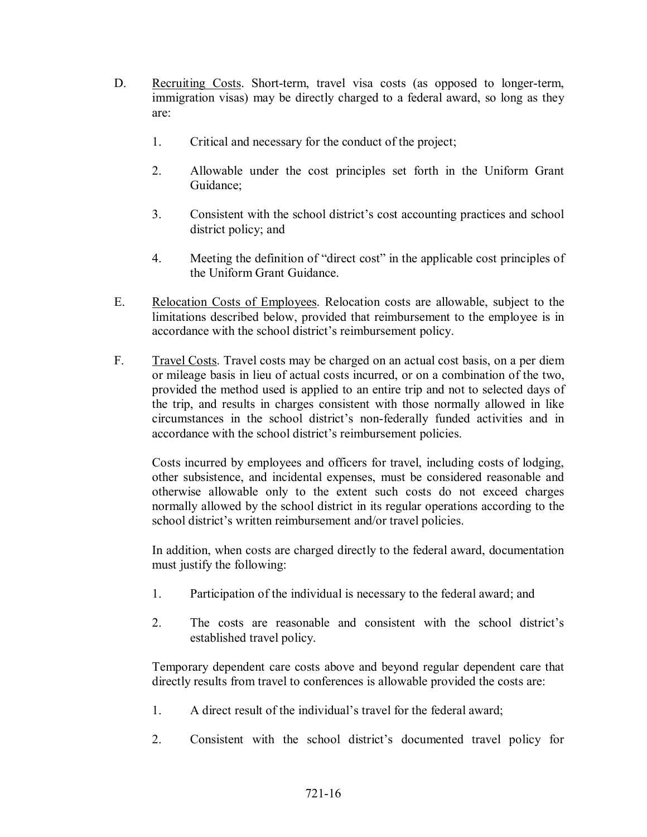- D. Recruiting Costs. Short-term, travel visa costs (as opposed to longer-term, immigration visas) may be directly charged to a federal award, so long as they are:
	- 1. Critical and necessary for the conduct of the project;
	- 2. Allowable under the cost principles set forth in the Uniform Grant Guidance;
	- 3. Consistent with the school district's cost accounting practices and school district policy; and
	- 4. Meeting the definition of "direct cost" in the applicable cost principles of the Uniform Grant Guidance.
- E. Relocation Costs of Employees. Relocation costs are allowable, subject to the limitations described below, provided that reimbursement to the employee is in accordance with the school district's reimbursement policy.
- F. Travel Costs. Travel costs may be charged on an actual cost basis, on a per diem or mileage basis in lieu of actual costs incurred, or on a combination of the two, provided the method used is applied to an entire trip and not to selected days of the trip, and results in charges consistent with those normally allowed in like circumstances in the school district's non-federally funded activities and in accordance with the school district's reimbursement policies.

Costs incurred by employees and officers for travel, including costs of lodging, other subsistence, and incidental expenses, must be considered reasonable and otherwise allowable only to the extent such costs do not exceed charges normally allowed by the school district in its regular operations according to the school district's written reimbursement and/or travel policies.

In addition, when costs are charged directly to the federal award, documentation must justify the following:

- 1. Participation of the individual is necessary to the federal award; and
- 2. The costs are reasonable and consistent with the school district's established travel policy.

Temporary dependent care costs above and beyond regular dependent care that directly results from travel to conferences is allowable provided the costs are:

- 1. A direct result of the individual's travel for the federal award;
- 2. Consistent with the school district's documented travel policy for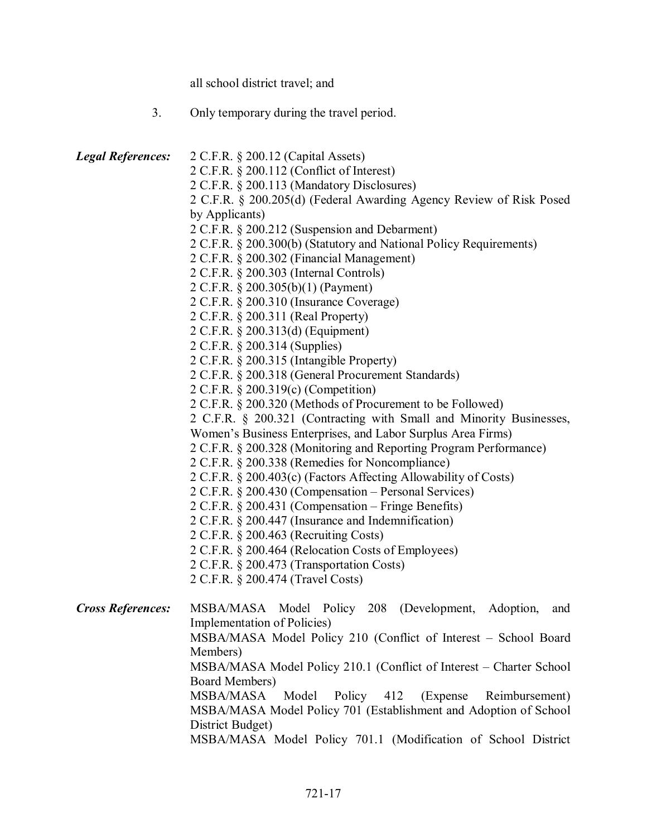all school district travel; and

|  |  | Only temporary during the travel period. |  |  |
|--|--|------------------------------------------|--|--|
|--|--|------------------------------------------|--|--|

| <b>Legal References:</b> | 2 C.F.R. § 200.12 (Capital Assets)                                                    |  |
|--------------------------|---------------------------------------------------------------------------------------|--|
|                          | 2 C.F.R. § 200.112 (Conflict of Interest)                                             |  |
|                          | 2 C.F.R. § 200.113 (Mandatory Disclosures)                                            |  |
|                          | 2 C.F.R. § 200.205(d) (Federal Awarding Agency Review of Risk Posed<br>by Applicants) |  |
|                          |                                                                                       |  |
|                          | 2 C.F.R. § 200.212 (Suspension and Debarment)                                         |  |
|                          | 2 C.F.R. § 200.300(b) (Statutory and National Policy Requirements)                    |  |
|                          | 2 C.F.R. § 200.302 (Financial Management)                                             |  |
|                          | 2 C.F.R. § 200.303 (Internal Controls)                                                |  |
|                          | 2 C.F.R. § 200.305(b)(1) (Payment)                                                    |  |
|                          | 2 C.F.R. § 200.310 (Insurance Coverage)                                               |  |
|                          | 2 C.F.R. § 200.311 (Real Property)                                                    |  |
|                          | 2 C.F.R. § 200.313(d) (Equipment)                                                     |  |
|                          | 2 C.F.R. § 200.314 (Supplies)                                                         |  |
|                          | 2 C.F.R. § 200.315 (Intangible Property)                                              |  |
|                          | 2 C.F.R. § 200.318 (General Procurement Standards)                                    |  |
|                          | 2 C.F.R. § 200.319(c) (Competition)                                                   |  |
|                          | 2 C.F.R. § 200.320 (Methods of Procurement to be Followed)                            |  |
|                          | 2 C.F.R. § 200.321 (Contracting with Small and Minority Businesses,                   |  |
|                          | Women's Business Enterprises, and Labor Surplus Area Firms)                           |  |
|                          | 2 C.F.R. § 200.328 (Monitoring and Reporting Program Performance)                     |  |
|                          | 2 C.F.R. § 200.338 (Remedies for Noncompliance)                                       |  |
|                          | 2 C.F.R. § 200.403(c) (Factors Affecting Allowability of Costs)                       |  |
|                          | 2 C.F.R. § 200.430 (Compensation – Personal Services)                                 |  |
|                          | 2 C.F.R. § 200.431 (Compensation – Fringe Benefits)                                   |  |
|                          | 2 C.F.R. § 200.447 (Insurance and Indemnification)                                    |  |
|                          | 2 C.F.R. § 200.463 (Recruiting Costs)                                                 |  |
|                          | 2 C.F.R. § 200.464 (Relocation Costs of Employees)                                    |  |
|                          | 2 C.F.R. § 200.473 (Transportation Costs)                                             |  |
|                          | 2 C.F.R. § 200.474 (Travel Costs)                                                     |  |
| <b>Cross References:</b> | MSBA/MASA Model Policy 208 (Development, Adoption,<br>and                             |  |
|                          | Implementation of Policies)                                                           |  |
|                          | MSBA/MASA Model Policy 210 (Conflict of Interest - School Board                       |  |
|                          | Members)                                                                              |  |
|                          | MSBA/MASA Model Policy 210.1 (Conflict of Interest – Charter School                   |  |
|                          | Board Members)                                                                        |  |
|                          | MSBA/MASA<br>Model<br>Policy 412<br>(Expense)<br>Reimbursement)                       |  |
|                          | MSBA/MASA Model Policy 701 (Establishment and Adoption of School                      |  |
|                          | District Budget)                                                                      |  |
|                          | MSBA/MASA Model Policy 701.1 (Modification of School District                         |  |
|                          |                                                                                       |  |